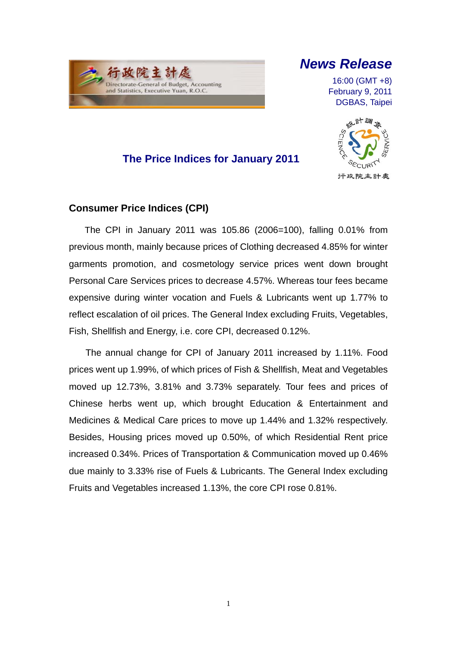

## *News Release*

16:00 (GMT +8) February 9, 2011 DGBAS, Taipei



## **The Price Indices for January 2011**

### **Consumer Price Indices (CPI)**

The CPI in January 2011 was 105.86 (2006=100), falling 0.01% from previous month, mainly because prices of Clothing decreased 4.85% for winter garments promotion, and cosmetology service prices went down brought Personal Care Services prices to decrease 4.57%. Whereas tour fees became expensive during winter vocation and Fuels & Lubricants went up 1.77% to reflect escalation of oil prices. The General Index excluding Fruits, Vegetables, Fish, Shellfish and Energy, i.e. core CPI, decreased 0.12%.

The annual change for CPI of January 2011 increased by 1.11%. Food prices went up 1.99%, of which prices of Fish & Shellfish, Meat and Vegetables moved up 12.73%, 3.81% and 3.73% separately. Tour fees and prices of Chinese herbs went up, which brought Education & Entertainment and Medicines & Medical Care prices to move up 1.44% and 1.32% respectively. Besides, Housing prices moved up 0.50%, of which Residential Rent price increased 0.34%. Prices of Transportation & Communication moved up 0.46% due mainly to 3.33% rise of Fuels & Lubricants. The General Index excluding Fruits and Vegetables increased 1.13%, the core CPI rose 0.81%.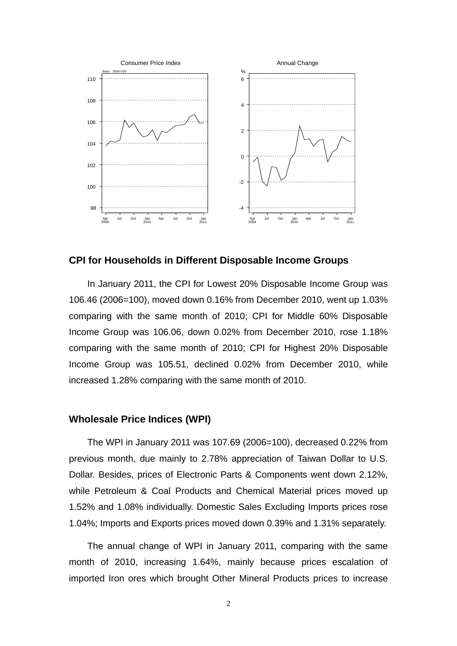

**CPI for Households in Different Disposable Income Groups**

In January 2011, the CPI for Lowest 20% Disposable Income Group was 106.46 (2006=100), moved down 0.16% from December 2010, went up 1.03% comparing with the same month of 2010; CPI for Middle 60% Disposable Income Group was 106.06, down 0.02% from December 2010, rose 1.18% comparing with the same month of 2010; CPI for Highest 20% Disposable Income Group was 105.51, declined 0.02% from December 2010, while increased 1.28% comparing with the same month of 2010.

### **Wholesale Price Indices (WPI)**

The WPI in January 2011 was 107.69 (2006=100), decreased 0.22% from previous month, due mainly to 2.78% appreciation of Taiwan Dollar to U.S. Dollar. Besides, prices of Electronic Parts & Components went down 2.12%, while Petroleum & Coal Products and Chemical Material prices moved up 1.52% and 1.08% individually. Domestic Sales Excluding Imports prices rose 1.04%; Imports and Exports prices moved down 0.39% and 1.31% separately.

The annual change of WPI in January 2011, comparing with the same month of 2010, increasing 1.64%, mainly because prices escalation of imported Iron ores which brought Other Mineral Products prices to increase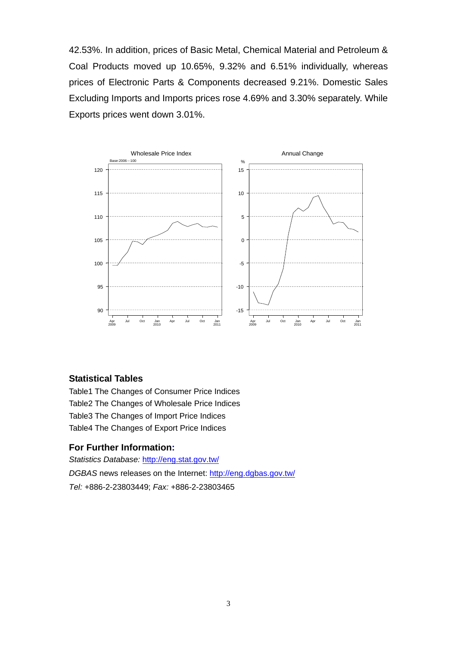42.53%. In addition, prices of Basic Metal, Chemical Material and Petroleum & Coal Products moved up 10.65%, 9.32% and 6.51% individually, whereas prices of Electronic Parts & Components decreased 9.21%. Domestic Sales Excluding Imports and Imports prices rose 4.69% and 3.30% separately. While Exports prices went down 3.01%.



#### **Statistical Tables**

Table1 The Changes of Consumer Price Indices Table2 The Changes of Wholesale Price Indices Table3 The Changes of Import Price Indices Table4 The Changes of Export Price Indices

#### **For Further Information:**

*Statistics Database:* http://eng.stat.gov.tw/ *DGBAS* news releases on the Internet: http://eng.dgbas.gov.tw/ *Tel:* +886-2-23803449; *Fax:* +886-2-23803465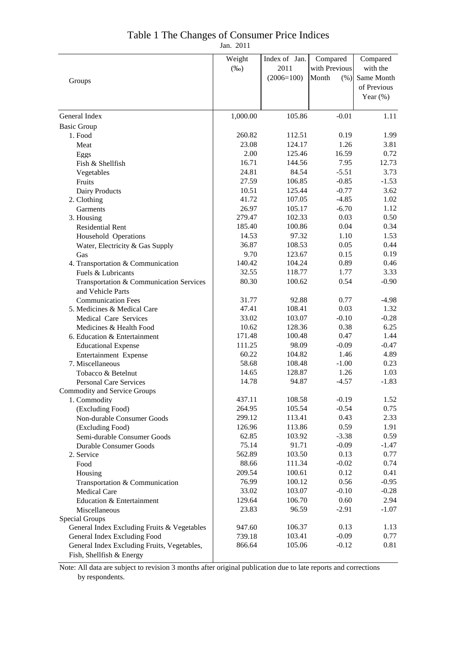### Table 1 The Changes of Consumer Price Indices

Jan. 2011

|                                             | Weight   | Index of Jan. | Compared      | Compared    |
|---------------------------------------------|----------|---------------|---------------|-------------|
|                                             | $(\%0)$  | 2011          | with Previous | with the    |
|                                             |          | $(2006=100)$  | Month<br>(% ) | Same Month  |
| Groups                                      |          |               |               | of Previous |
|                                             |          |               |               | Year $(\%)$ |
|                                             |          |               |               |             |
| General Index                               | 1,000.00 | 105.86        | $-0.01$       | 1.11        |
| <b>Basic Group</b>                          |          |               |               |             |
| 1. Food                                     | 260.82   | 112.51        | 0.19          | 1.99        |
| Meat                                        | 23.08    | 124.17        | 1.26          | 3.81        |
| Eggs                                        | 2.00     | 125.46        | 16.59         | 0.72        |
| Fish & Shellfish                            | 16.71    | 144.56        | 7.95          | 12.73       |
| Vegetables                                  | 24.81    | 84.54         | $-5.51$       | 3.73        |
| Fruits                                      | 27.59    | 106.85        | $-0.85$       | $-1.53$     |
| Dairy Products                              | 10.51    | 125.44        | $-0.77$       | 3.62        |
| 2. Clothing                                 | 41.72    | 107.05        | $-4.85$       | 1.02        |
| Garments                                    | 26.97    | 105.17        | $-6.70$       | 1.12        |
| 3. Housing                                  | 279.47   | 102.33        | 0.03          | 0.50        |
| <b>Residential Rent</b>                     | 185.40   | 100.86        | 0.04          | 0.34        |
| Household Operations                        | 14.53    | 97.32         | 1.10          | 1.53        |
| Water, Electricity & Gas Supply             | 36.87    | 108.53        | 0.05          | 0.44        |
| Gas                                         | 9.70     | 123.67        | 0.15          | 0.19        |
| 4. Transportation & Communication           | 140.42   | 104.24        | 0.89          | 0.46        |
| Fuels & Lubricants                          | 32.55    | 118.77        | 1.77          | 3.33        |
| Transportation & Communication Services     | 80.30    | 100.62        | 0.54          | $-0.90$     |
| and Vehicle Parts                           |          |               |               |             |
| <b>Communication Fees</b>                   | 31.77    | 92.88         | 0.77          | $-4.98$     |
| 5. Medicines & Medical Care                 | 47.41    | 108.41        | 0.03          | 1.32        |
| Medical Care Services                       | 33.02    | 103.07        | $-0.10$       | $-0.28$     |
| Medicines & Health Food                     | 10.62    | 128.36        | 0.38          | 6.25        |
| 6. Education & Entertainment                | 171.48   | 100.48        | 0.47          | 1.44        |
| <b>Educational Expense</b>                  | 111.25   | 98.09         | $-0.09$       | $-0.47$     |
| Entertainment Expense                       | 60.22    | 104.82        | 1.46          | 4.89        |
| 7. Miscellaneous                            | 58.68    | 108.48        | $-1.00$       | 0.23        |
| Tobacco & Betelnut                          | 14.65    | 128.87        | 1.26          | 1.03        |
| <b>Personal Care Services</b>               | 14.78    | 94.87         | $-4.57$       | $-1.83$     |
| Commodity and Service Groups                |          |               |               |             |
| 1. Commodity                                | 437.11   | 108.58        | $-0.19$       | 1.52        |
| (Excluding Food)                            | 264.95   | 105.54        | $-0.54$       | 0.75        |
| Non-durable Consumer Goods                  | 299.12   | 113.41        | 0.43          | 2.33        |
| (Excluding Food)                            | 126.96   | 113.86        | 0.59          | 1.91        |
| Semi-durable Consumer Goods                 | 62.85    | 103.92        | $-3.38$       | 0.59        |
| Durable Consumer Goods                      | 75.14    | 91.71         | $-0.09$       | $-1.47$     |
| 2. Service                                  | 562.89   | 103.50        | 0.13          | 0.77        |
| Food                                        | 88.66    | 111.34        | $-0.02$       | 0.74        |
| Housing                                     | 209.54   | 100.61        | 0.12          | 0.41        |
| Transportation & Communication              | 76.99    | 100.12        | 0.56          | $-0.95$     |
| <b>Medical Care</b>                         | 33.02    | 103.07        | $-0.10$       | $-0.28$     |
| Education & Entertainment                   | 129.64   | 106.70        | 0.60          | 2.94        |
| Miscellaneous                               | 23.83    | 96.59         | $-2.91$       | $-1.07$     |
| Special Groups                              |          |               |               |             |
| General Index Excluding Fruits & Vegetables | 947.60   | 106.37        | 0.13          | 1.13        |
| General Index Excluding Food                | 739.18   | 103.41        | $-0.09$       | 0.77        |
| General Index Excluding Fruits, Vegetables, | 866.64   | 105.06        | $-0.12$       | 0.81        |
| Fish, Shellfish & Energy                    |          |               |               |             |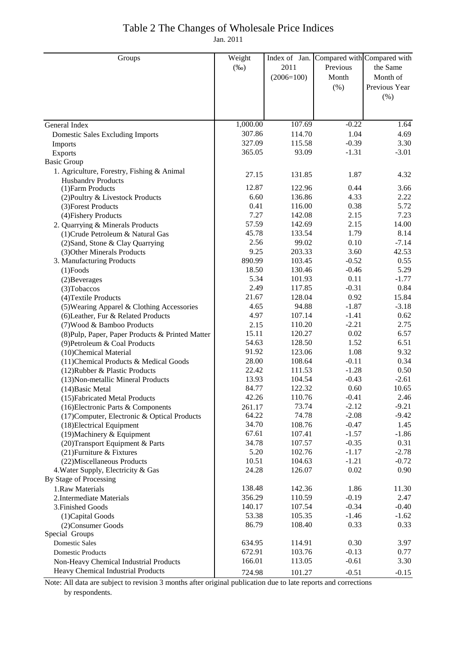## Table 2 The Changes of Wholesale Price Indices

Jan. 2011

| Groups                                           | Weight   | Index of Jan. | Compared with Compared with |               |
|--------------------------------------------------|----------|---------------|-----------------------------|---------------|
|                                                  | $(\%0)$  | 2011          | Previous                    | the Same      |
|                                                  |          | $(2006=100)$  | Month                       | Month of      |
|                                                  |          |               | (% )                        | Previous Year |
|                                                  |          |               |                             | (% )          |
|                                                  |          |               |                             |               |
|                                                  |          |               |                             |               |
| General Index                                    | 1,000.00 | 107.69        | $-0.22$                     | 1.64          |
| <b>Domestic Sales Excluding Imports</b>          | 307.86   | 114.70        | 1.04                        | 4.69          |
| Imports                                          | 327.09   | 115.58        | $-0.39$                     | 3.30          |
| Exports                                          | 365.05   | 93.09         | $-1.31$                     | $-3.01$       |
| <b>Basic Group</b>                               |          |               |                             |               |
| 1. Agriculture, Forestry, Fishing & Animal       |          |               |                             |               |
| <b>Husbandry Products</b>                        | 27.15    | 131.85        | 1.87                        | 4.32          |
| (1) Farm Products                                | 12.87    | 122.96        | 0.44                        | 3.66          |
| (2) Poultry & Livestock Products                 | 6.60     | 136.86        | 4.33                        | 2.22          |
| (3) Forest Products                              | 0.41     | 116.00        | 0.38                        | 5.72          |
| (4) Fishery Products                             | 7.27     | 142.08        | 2.15                        | 7.23          |
| 2. Quarrying & Minerals Products                 | 57.59    | 142.69        | 2.15                        | 14.00         |
| (1) Crude Petroleum & Natural Gas                | 45.78    | 133.54        | 1.79                        | 8.14          |
| (2) Sand, Stone & Clay Quarrying                 | 2.56     | 99.02         | 0.10                        | $-7.14$       |
| (3) Other Minerals Products                      | 9.25     | 203.33        | 3.60                        | 42.53         |
| 3. Manufacturing Products                        | 890.99   | 103.45        | $-0.52$                     | 0.55          |
| $(1)$ Foods                                      | 18.50    | 130.46        | $-0.46$                     | 5.29          |
| (2) Beverages                                    | 5.34     | 101.93        | 0.11                        | $-1.77$       |
| (3) Tobaccos                                     | 2.49     | 117.85        | $-0.31$                     | 0.84          |
| (4) Textile Products                             | 21.67    | 128.04        | 0.92                        | 15.84         |
| (5) Wearing Apparel & Clothing Accessories       | 4.65     | 94.88         | $-1.87$                     | $-3.18$       |
| (6) Leather, Fur & Related Products              | 4.97     | 107.14        | $-1.41$                     | 0.62          |
| (7) Wood & Bamboo Products                       | 2.15     | 110.20        | $-2.21$                     | 2.75          |
| (8) Pulp, Paper, Paper Products & Printed Matter | 15.11    | 120.27        | 0.02                        | 6.57          |
| (9) Petroleum & Coal Products                    | 54.63    | 128.50        | 1.52                        | 6.51          |
| (10)Chemical Material                            | 91.92    | 123.06        | 1.08                        | 9.32          |
| (11) Chemical Products & Medical Goods           | 28.00    | 108.64        | $-0.11$                     | 0.34          |
| (12) Rubber & Plastic Products                   | 22.42    | 111.53        | $-1.28$                     | 0.50          |
| (13) Non-metallic Mineral Products               | 13.93    | 104.54        | $-0.43$                     | $-2.61$       |
| (14) Basic Metal                                 | 84.77    | 122.32        | 0.60                        | 10.65         |
| (15) Fabricated Metal Products                   | 42.26    | 110.76        | $-0.41$                     | 2.46          |
| (16) Electronic Parts & Components               | 261.17   | 73.74         | $-2.12$                     | $-9.21$       |
| (17) Computer, Electronic & Optical Products     | 64.22    | 74.78         | $-2.08$                     | $-9.42$       |
| (18) Electrical Equipment                        | 34.70    | 108.76        | $-0.47$                     | 1.45          |
| (19) Machinery & Equipment                       | 67.61    | 107.41        | $-1.57$                     | $-1.86$       |
| (20) Transport Equipment & Parts                 | 34.78    | 107.57        | $-0.35$                     | 0.31          |
| (21) Furniture & Fixtures                        | 5.20     | 102.76        | $-1.17$                     | $-2.78$       |
| (22) Miscellaneous Products                      | 10.51    | 104.63        | $-1.21$                     | $-0.72$       |
| 4. Water Supply, Electricity & Gas               | 24.28    | 126.07        | 0.02                        | 0.90          |
| By Stage of Processing                           |          |               |                             |               |
| 1.Raw Materials                                  | 138.48   | 142.36        | 1.86                        | 11.30         |
| 2. Intermediate Materials                        | 356.29   | 110.59        | $-0.19$                     | 2.47          |
| 3. Finished Goods                                | 140.17   | 107.54        | $-0.34$                     | $-0.40$       |
| (1) Capital Goods                                | 53.38    | 105.35        | $-1.46$                     | $-1.62$       |
| (2) Consumer Goods                               | 86.79    | 108.40        | 0.33                        | 0.33          |
| Special Groups                                   |          |               |                             |               |
| <b>Domestic Sales</b>                            | 634.95   | 114.91        | 0.30                        | 3.97          |
| <b>Domestic Products</b>                         | 672.91   | 103.76        | $-0.13$                     | 0.77          |
| Non-Heavy Chemical Industrial Products           | 166.01   | 113.05        | $-0.61$                     | 3.30          |
| Heavy Chemical Industrial Products               | 724.98   | 101.27        | $-0.51$                     | $-0.15$       |
|                                                  |          |               |                             |               |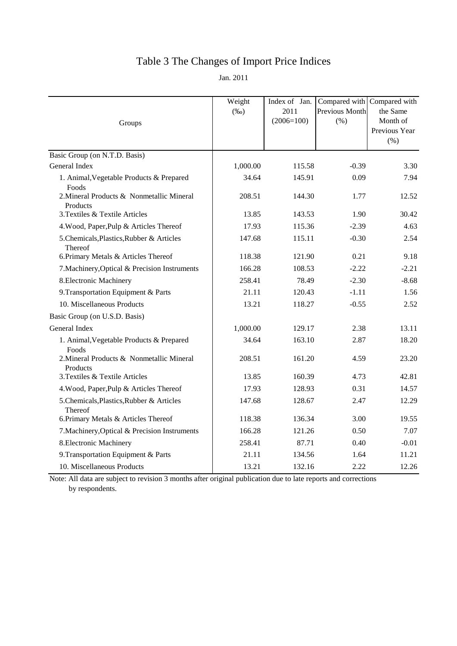# Table 3 The Changes of Import Price Indices

Jan. 2011

| Groups                                                | Weight<br>$(\%0)$ | Index of Jan.<br>2011<br>$(2006=100)$ | <b>Previous Month</b><br>(% ) | Compared with Compared with<br>the Same<br>Month of<br>Previous Year<br>$(\% )$ |
|-------------------------------------------------------|-------------------|---------------------------------------|-------------------------------|---------------------------------------------------------------------------------|
| Basic Group (on N.T.D. Basis)                         |                   |                                       |                               |                                                                                 |
| General Index                                         | 1,000.00          | 115.58                                | $-0.39$                       | 3.30                                                                            |
| 1. Animal, Vegetable Products & Prepared<br>Foods     | 34.64             | 145.91                                | 0.09                          | 7.94                                                                            |
| 2. Mineral Products & Nonmetallic Mineral<br>Products | 208.51            | 144.30                                | 1.77                          | 12.52                                                                           |
| 3. Textiles & Textile Articles                        | 13.85             | 143.53                                | 1.90                          | 30.42                                                                           |
| 4. Wood, Paper, Pulp & Articles Thereof               | 17.93             | 115.36                                | $-2.39$                       | 4.63                                                                            |
| 5. Chemicals, Plastics, Rubber & Articles<br>Thereof  | 147.68            | 115.11                                | $-0.30$                       | 2.54                                                                            |
| 6. Primary Metals & Articles Thereof                  | 118.38            | 121.90                                | 0.21                          | 9.18                                                                            |
| 7. Machinery, Optical & Precision Instruments         | 166.28            | 108.53                                | $-2.22$                       | $-2.21$                                                                         |
| 8. Electronic Machinery                               | 258.41            | 78.49                                 | $-2.30$                       | $-8.68$                                                                         |
| 9. Transportation Equipment & Parts                   | 21.11             | 120.43                                | $-1.11$                       | 1.56                                                                            |
| 10. Miscellaneous Products                            | 13.21             | 118.27                                | $-0.55$                       | 2.52                                                                            |
| Basic Group (on U.S.D. Basis)                         |                   |                                       |                               |                                                                                 |
| General Index                                         | 1,000.00          | 129.17                                | 2.38                          | 13.11                                                                           |
| 1. Animal, Vegetable Products & Prepared<br>Foods     | 34.64             | 163.10                                | 2.87                          | 18.20                                                                           |
| 2. Mineral Products & Nonmetallic Mineral<br>Products | 208.51            | 161.20                                | 4.59                          | 23.20                                                                           |
| 3. Textiles & Textile Articles                        | 13.85             | 160.39                                | 4.73                          | 42.81                                                                           |
| 4. Wood, Paper, Pulp & Articles Thereof               | 17.93             | 128.93                                | 0.31                          | 14.57                                                                           |
| 5. Chemicals, Plastics, Rubber & Articles<br>Thereof  | 147.68            | 128.67                                | 2.47                          | 12.29                                                                           |
| 6. Primary Metals & Articles Thereof                  | 118.38            | 136.34                                | 3.00                          | 19.55                                                                           |
| 7. Machinery, Optical & Precision Instruments         | 166.28            | 121.26                                | 0.50                          | 7.07                                                                            |
| 8. Electronic Machinery                               | 258.41            | 87.71                                 | 0.40                          | $-0.01$                                                                         |
| 9. Transportation Equipment & Parts                   | 21.11             | 134.56                                | 1.64                          | 11.21                                                                           |
| 10. Miscellaneous Products                            | 13.21             | 132.16                                | 2.22                          | 12.26                                                                           |